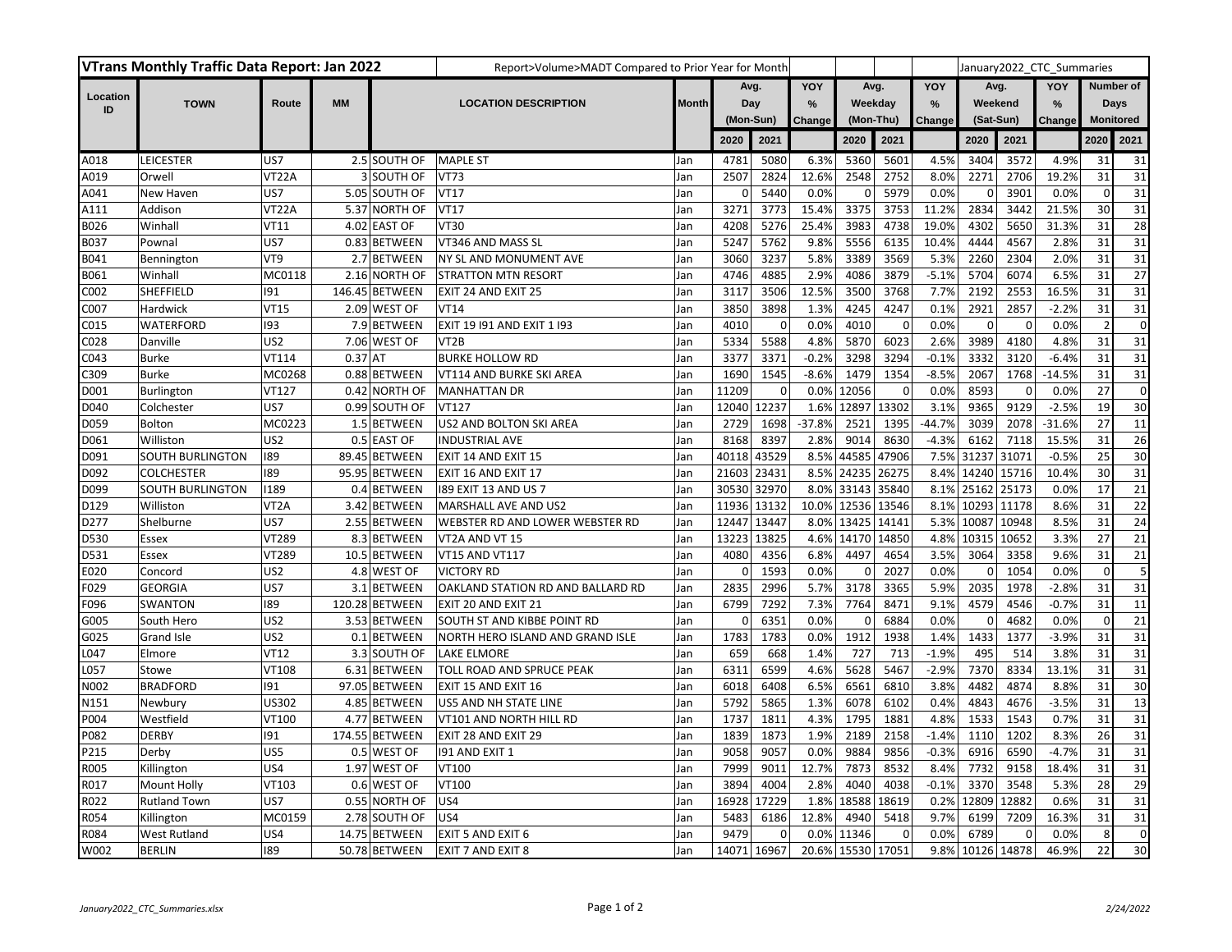|                | <b>VTrans Monthly Traffic Data Report: Jan 2022</b> |                   |           |                | Report>Volume>MADT Compared to Prior Year for Month |              |             |                |                   |                     |             |               |             |             | January2022 CTC Summaries |                  |                 |
|----------------|-----------------------------------------------------|-------------------|-----------|----------------|-----------------------------------------------------|--------------|-------------|----------------|-------------------|---------------------|-------------|---------------|-------------|-------------|---------------------------|------------------|-----------------|
|                |                                                     |                   |           |                |                                                     |              | Avg.<br>Day |                | YOY               | Avg.                |             | YOY           | Avg.        |             | YOY                       | Number of        |                 |
| Location<br>ID | <b>TOWN</b>                                         | Route             | <b>MM</b> |                | <b>LOCATION DESCRIPTION</b>                         | <b>Month</b> |             |                | $\frac{9}{6}$     | Weekday             |             | $\frac{9}{6}$ | Weekend     |             | %                         |                  | Days            |
|                |                                                     |                   |           |                |                                                     |              |             | (Mon-Sun)      |                   | (Mon-Thu)<br>Change |             | Change        | (Sat-Sun)   |             | Change                    | <b>Monitored</b> |                 |
|                |                                                     |                   |           |                |                                                     |              | 2020        | 2021           |                   | 2020                | 2021        |               | 2020        | 2021        |                           | 2020             | 2021            |
| A018           | <b>LEICESTER</b>                                    | US7               |           | 2.5 SOUTH OF   | <b>MAPLE ST</b>                                     | Jan          | 4781        | 5080           | 6.3%              | 5360                | 5601        | 4.5%          | 3404        | 3572        | 4.9%                      | 31               | 31              |
| A019           | Orwell                                              | VT22A             |           | 3 SOUTH OF     | <b>VT73</b>                                         | Jan          | 2507        | 2824           | 12.6%             | 2548                | 2752        | 8.0%          | 2271        | 2706        | 19.2%                     | 31               | 31              |
| A041           | New Haven                                           | US7               |           | 5.05 SOUTH OF  | <b>VT17</b>                                         | Jan          | 0           | 5440           | 0.0%              | 0                   | 5979        | 0.0%          | 0           | 3901        | 0.0%                      | $\mathbf{0}$     | 31              |
| A111           | Addison                                             | VT22A             |           | 5.37 NORTH OF  | <b>VT17</b>                                         | Jan          | 3271        | 3773           | 15.4%             | 3375                | 3753        | 11.2%         | 2834        | 3442        | 21.5%                     | 30               | 31              |
| B026           | Winhall                                             | <b>VT11</b>       |           | 4.02 EAST OF   | VT30                                                | Jan          | 4208        | 5276           | 25.4%             | 3983                | 4738        | 19.0%         | 4302        | 5650        | 31.3%                     | 31               | 28              |
| B037           | Pownal                                              | US7               |           | 0.83 BETWEEN   | VT346 AND MASS SL                                   | Jan          | 5247        | 5762           | 9.8%              | 5556                | 6135        | 10.4%         | 4444        | 4567        | 2.8%                      | 31               | 31              |
| B041           | Bennington                                          | VT <sub>9</sub>   |           | 2.7 BETWEEN    | NY SL AND MONUMENT AVE                              | Jan          | 3060        | 3237           | 5.8%              | 3389                | 3569        | 5.3%          | 2260        | 2304        | 2.0%                      | 31               | 31              |
| B061           | Winhal                                              | MC0118            |           | 2.16 NORTH OF  | <b>STRATTON MTN RESORT</b>                          | Jan          | 4746        | 4885           | 2.9%              | 4086                | 3879        | $-5.1%$       | 5704        | 6074        | 6.5%                      | 31               | 27              |
| C002           | SHEFFIELD                                           | 191               |           | 146.45 BETWEEN | EXIT 24 AND EXIT 25                                 | Jan          | 3117        | 3506           | 12.5%             | 3500                | 3768        | 7.7%          | 2192        | 2553        | 16.5%                     | 31               | 31              |
| C007           | Hardwick                                            | VT15              |           | 2.09 WEST OF   | <b>VT14</b>                                         | Jan          | 3850        | 3898           | 1.3%              | 4245                | 4247        | 0.1%          | 2921        | 2857        | $-2.2%$                   | 31               | 31              |
| C015           | WATERFORD                                           | 193               |           | 7.9 BETWEEN    | EXIT 19 191 AND EXIT 1 193                          | Jan          | 4010        | $\overline{0}$ | 0.0%              | 4010                | $\mathbf 0$ | 0.0%          | $\Omega$    | $\mathbf 0$ | 0.0%                      | $\overline{2}$   | $\mathbf 0$     |
| C028           | Danville                                            | US <sub>2</sub>   |           | 7.06 WEST OF   | VT <sub>2</sub> B                                   | Jan          | 5334        | 5588           | 4.8%              | 5870                | 6023        | 2.6%          | 3989        | 4180        | 4.8%                      | 31               | 31              |
| C043           | Burke                                               | VT114             | $0.37$ AT |                | <b>BURKE HOLLOW RD</b>                              | Jan          | 3377        | 3371           | $-0.2%$           | 3298                | 3294        | $-0.1%$       | 3332        | 3120        | $-6.4%$                   | 31               | 31              |
| C309           | <b>Burke</b>                                        | MC0268            |           | 0.88 BETWEEN   | VT114 AND BURKE SKI AREA                            | Jan          | 1690        | 1545           | $-8.6%$           | 1479                | 1354        | $-8.5%$       | 2067        | 1768        | $-14.5%$                  | 31               | 31              |
| D001           | Burlington                                          | VT127             |           | 0.42 NORTH OF  | <b>MANHATTAN DR</b>                                 | Jan          | 11209       | $\overline{0}$ | 0.0%              | 12056               | $\mathbf 0$ | 0.0%          | 8593        | $\mathbf 0$ | 0.0%                      | 27               | $\mathbf 0$     |
| D040           | Colchester                                          | US7               |           | 0.99 SOUTH OF  | <b>VT127</b>                                        | Jan          | 12040       | 12237          | 1.6%              | 12897               | 13302       | 3.1%          | 9365        | 9129        | $-2.5%$                   | 19               | 30              |
| D059           | Bolton                                              | MC0223            |           | 1.5 BETWEEN    | US2 AND BOLTON SKI AREA                             | Jan          | 2729        | 1698           | $-37.8%$          | 2521                | 1395        | $-44.7%$      | 3039        | 2078        | $-31.6%$                  | 27               | 11              |
| D061           | Williston                                           | US <sub>2</sub>   |           | 0.5 EAST OF    | <b>INDUSTRIAL AVE</b>                               | Jan          | 8168        | 8397           | 2.8%              | 9014                | 8630        | $-4.3%$       | 6162        | 7118        | 15.5%                     | 31               | 26              |
| D091           | <b>SOUTH BURLINGTON</b>                             | 189               |           | 89.45 BETWEEN  | EXIT 14 AND EXIT 15                                 | Jan          | 40118       | 43529          | 8.5%              | 44585               | 47906       | 7.5%          | 31237       | 31071       | $-0.5%$                   | 25               | 30              |
| D092           | <b>COLCHESTER</b>                                   | 189               |           | 95.95 BETWEEN  | EXIT 16 AND EXIT 17                                 | Jan          | 21603       | 23431          |                   | 8.5% 24235          | 26275       | 8.4%          | 14240       | 15716       | 10.4%                     | 30               | 31              |
| D099           | SOUTH BURLINGTON                                    | 1189              |           | 0.4 BETWEEN    | 189 EXIT 13 AND US 7                                | Jan          | 30530       | 32970          |                   | 8.0% 33143          | 35840       | 8.1%          | 25162       | 25173       | 0.0%                      | 17               | 21              |
| D129           | Williston                                           | VT <sub>2</sub> A |           | 3.42 BETWEEN   | MARSHALL AVE AND US2                                | Jan          | 11936       | 13132          | 10.0% 12536       |                     | 13546       | 8.1%          | 10293       | 11178       | 8.6%                      | 31               | 22              |
| D277           | Shelburne                                           | US7               |           | 2.55 BETWEEN   | WEBSTER RD AND LOWER WEBSTER RD                     | Jan          | 12447       | 13447          |                   | 8.0% 13425          | 14141       | 5.3%          | 10087       | 10948       | 8.5%                      | 31               | 24              |
| D530           | Essex                                               | VT289             |           | 8.3 BETWEEN    | VT2A AND VT 15                                      | Jan          | 13223       | 13825          |                   | 4.6% 14170          | 14850       | 4.8%          | 10315       | 10652       | 3.3%                      | 27               | 21              |
| D531           | Essex                                               | VT289             |           | 10.5 BETWEEN   | VT15 AND VT117                                      | Jan          | 4080        | 4356           | 6.8%              | 4497                | 4654        | 3.5%          | 3064        | 3358        | 9.6%                      | 31               | 21              |
| E020           | Concord                                             | US <sub>2</sub>   |           | 4.8 WEST OF    | <b>VICTORY RD</b>                                   | Jan          | 0           | 1593           | 0.0%              | 0                   | 2027        | 0.0%          | $\Omega$    | 1054        | 0.0%                      | $\mathbf 0$      | 5               |
| F029           | <b>GEORGIA</b>                                      | US7               |           | 3.1 BETWEEN    | OAKLAND STATION RD AND BALLARD RD                   | Jan          | 2835        | 2996           | 5.7%              | 3178                | 3365        | 5.9%          | 2035        | 1978        | $-2.8%$                   | 31               | 31              |
| F096           | SWANTON                                             | 189               |           | 120.28 BETWEEN | EXIT 20 AND EXIT 21                                 | Jan          | 6799        | 7292           | 7.3%              | 7764                | 8471        | 9.1%          | 4579        | 4546        | $-0.7%$                   | 31               | 11              |
| G005           | South Hero                                          | US <sub>2</sub>   |           | 3.53 BETWEEN   | SOUTH ST AND KIBBE POINT RD                         | Jan          | $\Omega$    | 6351           | 0.0%              | 0                   | 6884        | 0.0%          | $\Omega$    | 4682        | 0.0%                      | $\mathbf 0$      | 21              |
| G025           | Grand Isle                                          | US <sub>2</sub>   |           | 0.1 BETWEEN    | NORTH HERO ISLAND AND GRAND ISLE                    | Jan          | 1783        | 1783           | 0.0%              | 1912                | 1938        | 1.4%          | 1433        | 1377        | $-3.9%$                   | 31               | 31              |
| L047           | Elmore                                              | <b>VT12</b>       |           | 3.3 SOUTH OF   | <b>LAKE ELMORE</b>                                  | Jan          | 659         | 668            | 1.4%              | 727                 | 713         | $-1.9%$       | 495         | 514         | 3.8%                      | 31               | 31              |
| L057           | Stowe                                               | VT108             |           | 6.31 BETWEEN   | TOLL ROAD AND SPRUCE PEAK                           | Jan          | 6311        | 6599           | 4.6%              | 5628                | 5467        | $-2.9%$       | 7370        | 8334        | 13.1%                     | 31               | 31              |
| N002           | <b>BRADFORD</b>                                     | 191               |           | 97.05 BETWEEN  | EXIT 15 AND EXIT 16                                 | Jan          | 6018        | 6408           | 6.5%              | 6561                | 6810        | 3.8%          | 4482        | 4874        | 8.8%                      | 31               | 30              |
| N151           | Newbury                                             | <b>US302</b>      |           | 4.85 BETWEEN   | US5 AND NH STATE LINE                               | Jan          | 5792        | 5865           | 1.3%              | 6078                | 6102        | 0.4%          | 4843        | 4676        | $-3.5%$                   | 31               | $\overline{13}$ |
| P004           | Westfield                                           | VT100             |           | 4.77 BETWEEN   | VT101 AND NORTH HILL RD                             | Jan          | 1737        | 1811           | 4.3%              | 1795                | 1881        | 4.8%          | 1533        | 1543        | 0.7%                      | 31               | 31              |
| P082           | <b>DERBY</b>                                        | 191               |           | 174.55 BETWEEN | EXIT 28 AND EXIT 29                                 | Jan          | 1839        | 1873           | 1.9%              | 2189                | 2158        | $-1.4%$       | 1110        | 1202        | 8.3%                      | 26               | 31              |
| P215           | Derby                                               | US5               |           | 0.5 WEST OF    | 191 AND EXIT 1                                      | Jan          | 9058        | 9057           | 0.0%              | 9884                | 9856        | $-0.3%$       | 6916        | 6590        | $-4.7%$                   | 31               | 31              |
| R005           | Killington                                          | US4               |           | 1.97 WEST OF   | VT100                                               | Jan          | 7999        | 9011           | 12.7%             | 7873                | 8532        | 8.4%          | 7732        | 9158        | 18.4%                     | 31               | 31              |
| R017           | Mount Holly                                         | VT103             |           | 0.6 WEST OF    | VT100                                               | Jan          | 3894        | 4004           | 2.8%              | 4040                | 4038        | $-0.1%$       | 3370        | 3548        | 5.3%                      | 28               | 29              |
| R022           | <b>Rutland Town</b>                                 | US7               |           | 0.55 NORTH OF  | US4                                                 | Jan          | 16928       | 17229          | 1.8%              | 18588               | 18619       | 0.2%          | 12809       | 12882       | 0.6%                      | 31               | 31              |
| R054           | Killington                                          | MC0159            |           | 2.78 SOUTH OF  | US4                                                 | Jan          | 5483        | 6186           | 12.8%             | 4940                | 5418        | 9.7%          | 6199        | 7209        | 16.3%                     | 31               | 31              |
| R084           | <b>West Rutland</b>                                 | US4               |           | 14.75 BETWEEN  | EXIT 5 AND EXIT 6                                   | Jan          | 9479        | $\Omega$       | 0.0%              | 11346               |             | 0.0%          | 6789        | O           | 0.0%                      | 8                | $\mathbf 0$     |
| W002           | <b>BERLIN</b>                                       | 189               |           | 50.78 BETWEEN  | EXIT 7 AND EXIT 8                                   | Jan          | 14071       | 16967          | 20.6% 15530 17051 |                     |             | 9.8%          | 10126 14878 |             | 46.9%                     | 22               | 30              |